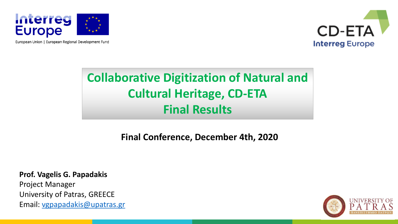

European Union | European Regional Development Fund



**Collaborative Digitization of Natural and Cultural Heritage, CD-ETA Final Results** 

**Final Conference, December 4th, 2020** 

**Prof. Vagelis G. Papadakis** Project Manager University of Patras, GREECE Email: [vgpapadakis@upatras.gr](mailto:vgpapadakis@upatras.gr)

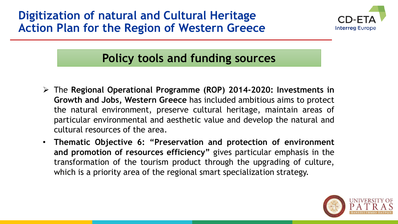

### **Policy tools and funding sources**

- ➢ The **Regional Operational Programme (ROP) 2014-2020: Investments in Growth and Jobs, Western Greece** has included ambitious aims to protect the natural environment, preserve cultural heritage, maintain areas of particular environmental and aesthetic value and develop the natural and cultural resources of the area.
- **Thematic Objective 6: "Preservation and protection of environment and promotion of resources efficiency"** gives particular emphasis in the transformation of the tourism product through the upgrading of culture, which is a priority area of the regional smart specialization strategy.

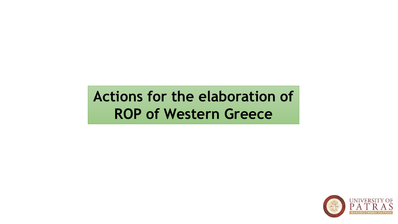# **Actions for the elaboration of ROP of Western Greece**

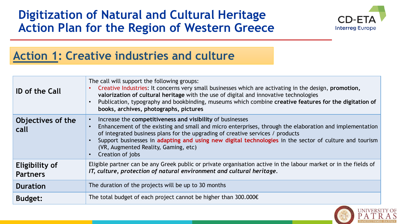

#### **Action 1: Creative industries and culture**

| <b>ID of the Call</b>             | The call will support the following groups:<br>Creative Industries: It concerns very small businesses which are activating in the design, promotion,<br>valorization of cultural heritage with the use of digital and innovative technologies<br>Publication, typography and bookbinding, museums which combine creative features for the digitation of<br>books, archives, photographs, pictures                            |  |
|-----------------------------------|------------------------------------------------------------------------------------------------------------------------------------------------------------------------------------------------------------------------------------------------------------------------------------------------------------------------------------------------------------------------------------------------------------------------------|--|
| Objectives of the<br>call         | Increase the competitiveness and visibility of businesses<br>Enhancement of the existing and small and micro enterprises, through the elaboration and implementation<br>of integrated business plans for the upgrading of creative services / products<br>Support businesses in adapting and using new digital technologies in the sector of culture and tourism<br>(VR, Augmented Reality, Gaming, etc)<br>Creation of jobs |  |
| Eligibility of<br><b>Partners</b> | Eligible partner can be any Greek public or private organisation active in the labour market or in the fields of<br>IT, culture, protection of natural environment and cultural heritage.                                                                                                                                                                                                                                    |  |
| <b>Duration</b>                   | The duration of the projects will be up to 30 months                                                                                                                                                                                                                                                                                                                                                                         |  |
| <b>Budget:</b>                    | The total budget of each project cannot be higher than 300.000 $\epsilon$                                                                                                                                                                                                                                                                                                                                                    |  |

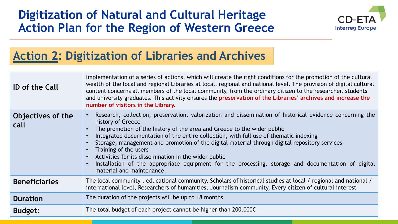

#### **Action 2: Digitization of Libraries and Archives**

| <b>ID of the Call</b>     | Implementation of a series of actions, which will create the right conditions for the promotion of the cultural<br>wealth of the local and regional Libraries at local, regional and national level. The provision of digital cultural<br>content concerns all members of the local community, from the ordinary citizen to the researcher, students<br>and university graduates. This activity ensures the preservation of the Libraries' archives and increase the<br>number of visitors in the Library.                                                                                                                                                                              |
|---------------------------|-----------------------------------------------------------------------------------------------------------------------------------------------------------------------------------------------------------------------------------------------------------------------------------------------------------------------------------------------------------------------------------------------------------------------------------------------------------------------------------------------------------------------------------------------------------------------------------------------------------------------------------------------------------------------------------------|
| Objectives of the<br>call | Research, collection, preservation, valorization and dissemination of historical evidence concerning the<br>history of Greece<br>The promotion of the history of the area and Greece to the wider public<br>Integrated documentation of the entire collection, with full use of thematic indexing<br>$\bullet$<br>Storage, management and promotion of the digital material through digital repository services<br>$\bullet$<br>Training of the users<br>$\bullet$<br>Activities for its dissemination in the wider public<br>$\bullet$<br>Installation of the appropriate equipment for the processing, storage and documentation of digital<br>$\bullet$<br>material and maintenance. |
| <b>Beneficiaries</b>      | The local community, educational community, Scholars of historical studies at local / regional and national /<br>international level, Researchers of humanities, Journalism community, Every citizen of cultural interest                                                                                                                                                                                                                                                                                                                                                                                                                                                               |
| <b>Duration</b>           | The duration of the projects will be up to 18 months                                                                                                                                                                                                                                                                                                                                                                                                                                                                                                                                                                                                                                    |
| <b>Budget:</b>            | The total budget of each project cannot be higher than $200.000 \epsilon$                                                                                                                                                                                                                                                                                                                                                                                                                                                                                                                                                                                                               |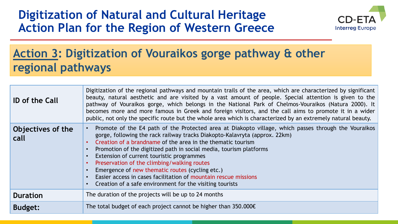

### **Action 3: Digitization of Vouraikos gorge pathway & other regional pathways**

| <b>ID of the Call</b>     | Digitization of the regional pathways and mountain trails of the area, which are characterized by significant<br>beauty, natural aesthetic and are visited by a vast amount of people. Special attention is given to the<br>pathway of Vouraikos gorge, which belongs in the National Park of Chelmos-Vouraikos (Natura 2000). It<br>becomes more and more famous in Greek and foreign visitors, and the call aims to promote it in a wider<br>public, not only the specific route but the whole area which is characterized by an extremely natural beauty.                                                                    |
|---------------------------|---------------------------------------------------------------------------------------------------------------------------------------------------------------------------------------------------------------------------------------------------------------------------------------------------------------------------------------------------------------------------------------------------------------------------------------------------------------------------------------------------------------------------------------------------------------------------------------------------------------------------------|
| Objectives of the<br>call | Promote of the E4 path of the Protected area at Diakopto village, which passes through the Vouraikos<br>gorge, following the rack railway tracks Diakopto-Kalavryta (approx. 22km)<br>Creation of a brandname of the area in the thematic tourism<br>Promotion of the digitized path in social media, tourism platforms<br>$\bullet$<br>Extension of current touristic programmes<br>$\bullet$<br>Preservation of the climbing/walking routes<br>Emergence of new thematic routes (cycling etc.)<br>Easier access in cases facilitation of mountain rescue missions<br>Creation of a safe environment for the visiting tourists |
| <b>Duration</b>           | The duration of the projects will be up to 24 months                                                                                                                                                                                                                                                                                                                                                                                                                                                                                                                                                                            |
| <b>Budget:</b>            | The total budget of each project cannot be higher than 350.000 $\epsilon$                                                                                                                                                                                                                                                                                                                                                                                                                                                                                                                                                       |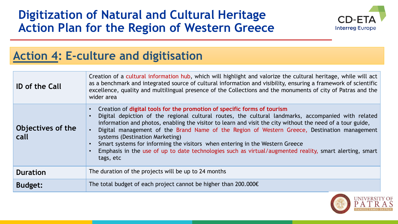

#### **Action 4: E-culture and digitisation**

| <b>ID of the Call</b>     | Creation of a cultural information hub, which will highlight and valorize the cultural heritage, while will act<br>as a benchmark and integrated source of cultural information and visibility, ensuring a framework of scientific<br>excellence, quality and multilingual presence of the Collections and the monuments of city of Patras and the<br>wider area                                                                                                                                                                                                                                                                         |  |
|---------------------------|------------------------------------------------------------------------------------------------------------------------------------------------------------------------------------------------------------------------------------------------------------------------------------------------------------------------------------------------------------------------------------------------------------------------------------------------------------------------------------------------------------------------------------------------------------------------------------------------------------------------------------------|--|
| Objectives of the<br>call | Creation of digital tools for the promotion of specific forms of tourism<br>Digital depiction of the regional cultural routes, the cultural landmarks, accompanied with related<br>information and photos, enabling the visitor to learn and visit the city without the need of a tour guide,<br>Digital management of the Brand Name of the Region of Western Greece, Destination management<br>systems (Destination Marketing)<br>Smart systems for informing the visitors when entering in the Western Greece<br>Emphasis in the use of up to date technologies such as virtual/augmented reality, smart alerting, smart<br>tags, etc |  |
| <b>Duration</b>           | The duration of the projects will be up to 24 months                                                                                                                                                                                                                                                                                                                                                                                                                                                                                                                                                                                     |  |
| <b>Budget:</b>            | The total budget of each project cannot be higher than 200.000€                                                                                                                                                                                                                                                                                                                                                                                                                                                                                                                                                                          |  |

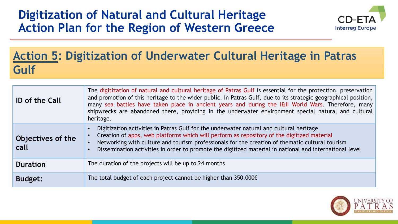

### **Action 5: Digitization of Underwater Cultural Heritage in Patras Gulf**

| <b>ID of the Call</b>     | The digitization of natural and cultural heritage of Patras Gulf is essential for the protection, preservation<br>and promotion of this heritage to the wider public. In Patras Gulf, due to its strategic geographical position,<br>many sea battles have taken place in ancient years and during the I&II World Wars. Therefore, many<br>shipwrecks are abandoned there, providing in the underwater environment special natural and cultural<br>heritage. |  |
|---------------------------|--------------------------------------------------------------------------------------------------------------------------------------------------------------------------------------------------------------------------------------------------------------------------------------------------------------------------------------------------------------------------------------------------------------------------------------------------------------|--|
| Objectives of the<br>call | Digitization activities in Patras Gulf for the underwater natural and cultural heritage<br>Creation of apps, web platforms which will perform as repository of the digitized material<br>Networking with culture and tourism professionals for the creation of thematic cultural tourism<br>Dissemination activities in order to promote the digitized material in national and international level                                                          |  |
| <b>Duration</b>           | The duration of the projects will be up to 24 months                                                                                                                                                                                                                                                                                                                                                                                                         |  |
| <b>Budget:</b>            | The total budget of each project cannot be higher than 350.000€                                                                                                                                                                                                                                                                                                                                                                                              |  |

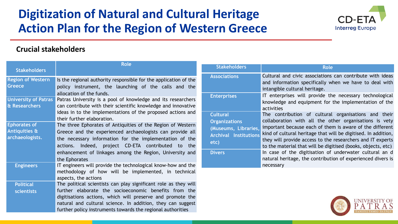

#### **Crucial stakeholders**

|                                                                                                                                                      | <b>Role</b>                                                                                                                                                                                                                                                                                                                                                                                                                                                                                                                                                                                                                                                                                                   |                                                                                                                                                                       |                                                                                                                                                                                                                                                                                                                                                                                                                                                                                                                                                                                                                                                                                                                                                                                                |  |
|------------------------------------------------------------------------------------------------------------------------------------------------------|---------------------------------------------------------------------------------------------------------------------------------------------------------------------------------------------------------------------------------------------------------------------------------------------------------------------------------------------------------------------------------------------------------------------------------------------------------------------------------------------------------------------------------------------------------------------------------------------------------------------------------------------------------------------------------------------------------------|-----------------------------------------------------------------------------------------------------------------------------------------------------------------------|------------------------------------------------------------------------------------------------------------------------------------------------------------------------------------------------------------------------------------------------------------------------------------------------------------------------------------------------------------------------------------------------------------------------------------------------------------------------------------------------------------------------------------------------------------------------------------------------------------------------------------------------------------------------------------------------------------------------------------------------------------------------------------------------|--|
| <b>Stakeholders</b>                                                                                                                                  |                                                                                                                                                                                                                                                                                                                                                                                                                                                                                                                                                                                                                                                                                                               | <b>Stakeholders</b>                                                                                                                                                   | <b>Role</b>                                                                                                                                                                                                                                                                                                                                                                                                                                                                                                                                                                                                                                                                                                                                                                                    |  |
| <b>Region of Western</b><br><b>Greece</b><br><b>University of Patras</b><br>& Researchers<br><b>Ephorates of</b><br>Antiquities &<br>archaeologists. | Is the regional authority responsible for the application of the<br>policy instrument, the launching of the calls and the<br>allocation of the funds.<br>Patras University is a pool of knowledge and its researchers<br>can contribute with their scientific knowledge and innovative<br>ideas in to the implementations of the proposed actions and<br>their further elaboration.<br>The three Ephorates of Antiquities of the Region of Western<br>Greece and the experienced archaeologists can provide all<br>the necessary information for the implementation of the<br>actions. Indeed, project CD-ETA contributed to the<br>enhancement of linkages among the Region, University and<br>the Ephorates | <b>Associations</b><br><b>Enterprises</b><br><b>Cultural</b><br><b>Organizations</b><br>(Museums, Libraries,<br><b>Archival Institutions</b><br>etc)<br><b>Divers</b> | Cultural and civic associations can contribute with ideas<br>and information specifically when we have to deal with<br>intangible cultural heritage.<br>IT enterprises will provide the necessary technological<br>knowledge and equipment for the implementation of the<br>activities<br>The contribution of cultural organisations and their<br>collaboration with all the other organisations is vety<br>important because each of them is aware of the different<br>kind of cultural heritage that will be digitised. In addition,<br>they will provide access to the researchers and IT experts<br>to the material that will be digitised (books, objects, etc)<br>In case of the digitisation of underwater cultural an d<br>natural heritage, the contribution of experienced divers is |  |
| <b>Engineers</b>                                                                                                                                     | IT engineers will provide the technological know-how and the<br>methodology of how will be implemented, in technical<br>aspects, the actions                                                                                                                                                                                                                                                                                                                                                                                                                                                                                                                                                                  |                                                                                                                                                                       | necessary                                                                                                                                                                                                                                                                                                                                                                                                                                                                                                                                                                                                                                                                                                                                                                                      |  |
| <b>Political</b><br>scientists                                                                                                                       | The political scientists can play significant role as they will<br>further elaborate the socioeconomic benefits from the<br>digitisations actions, which will preserve and promote the<br>natural and cultural science. In addition, they can suggest<br>further policy instruments towards the regional authorities                                                                                                                                                                                                                                                                                                                                                                                          |                                                                                                                                                                       | TY OF                                                                                                                                                                                                                                                                                                                                                                                                                                                                                                                                                                                                                                                                                                                                                                                          |  |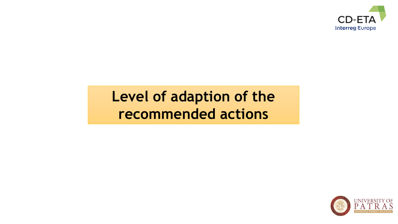

# **Level of adaption of the recommended actions**

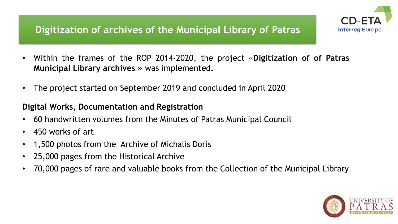

• The project started on September 2019 and concluded in April 2020

#### **Digital Works, Documentation and Registration**

- 60 handwritten volumes from the Minutes of Patras Municipal Council
- 450 works of art
- 1,500 photos from the Archive of Michalis Doris
- 25,000 pages from the Historical Archive
- 70,000 pages of rare and valuable books from the Collection of the Municipal Library.



**Interreg Europe**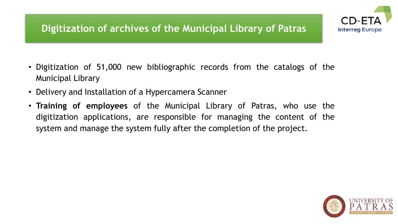- Digitization of 51,000 new bibliographic records from the catalogs of the Municipal Library
- Delivery and Installation of a Hypercamera Scanner
- **Training of employees** of the Municipal Library of Patras, who use the digitization applications, are responsible for managing the content of the system and manage the system fully after the completion of the project.

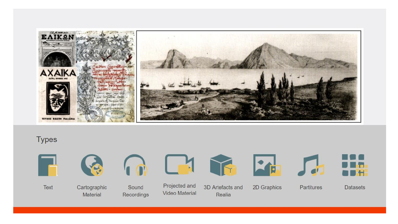

#### **Types**



Text

Cartographic Material







Projected and Video Material







Partitures



**Datasets** 

Recordings

3D Artefacts and Realia

2D Graphics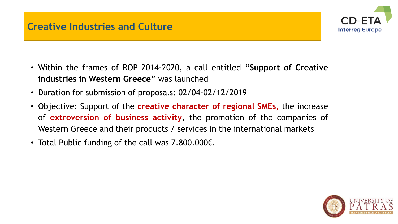#### **Creative Industries and Culture**



- Within the frames of ROP 2014-2020, a call entitled **"Support of Creative industries in Western Greece"** was launched
- Duration for submission of proposals: 02/04-02/12/2019
- Objective: Support of the **creative character of regional SMEs,** the increase of **extroversion of business activity**, the promotion of the companies of Western Greece and their products / services in the international markets
- Total Public funding of the call was 7.800.000€.

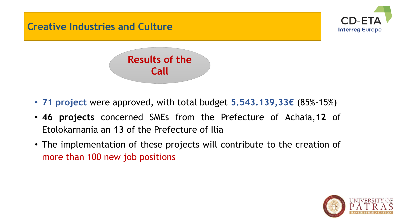

- **71 project** were approved, with total budget **5.543.139,33€** (85%-15%)
- **46 projects** concerned SMEs from the Prefecture of Achaia,**12** of Etolokarnania an **13** of the Prefecture of Ilia
- The implementation of these projects will contribute to the creation of more than 100 new job positions

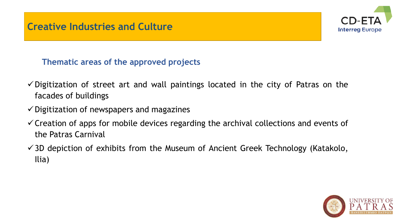

**Thematic areas of the approved projects**

- $\checkmark$  Digitization of street art and wall paintings located in the city of Patras on the facades of buildings
- $\checkmark$  Digitization of newspapers and magazines
- $\checkmark$  Creation of apps for mobile devices regarding the archival collections and events of the Patras Carnival
- $\checkmark$  3D depiction of exhibits from the Museum of Ancient Greek Technology (Katakolo, Ilia)